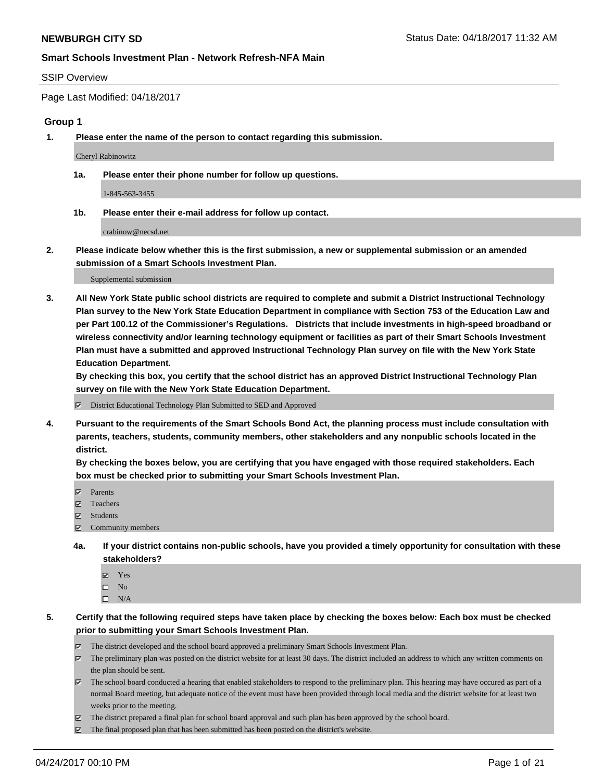#### SSIP Overview

Page Last Modified: 04/18/2017

## **Group 1**

**1. Please enter the name of the person to contact regarding this submission.**

Cheryl Rabinowitz

**1a. Please enter their phone number for follow up questions.**

1-845-563-3455

**1b. Please enter their e-mail address for follow up contact.**

crabinow@necsd.net

**2. Please indicate below whether this is the first submission, a new or supplemental submission or an amended submission of a Smart Schools Investment Plan.**

Supplemental submission

**3. All New York State public school districts are required to complete and submit a District Instructional Technology Plan survey to the New York State Education Department in compliance with Section 753 of the Education Law and per Part 100.12 of the Commissioner's Regulations. Districts that include investments in high-speed broadband or wireless connectivity and/or learning technology equipment or facilities as part of their Smart Schools Investment Plan must have a submitted and approved Instructional Technology Plan survey on file with the New York State Education Department.** 

**By checking this box, you certify that the school district has an approved District Instructional Technology Plan survey on file with the New York State Education Department.**

District Educational Technology Plan Submitted to SED and Approved

**4. Pursuant to the requirements of the Smart Schools Bond Act, the planning process must include consultation with parents, teachers, students, community members, other stakeholders and any nonpublic schools located in the district.** 

**By checking the boxes below, you are certifying that you have engaged with those required stakeholders. Each box must be checked prior to submitting your Smart Schools Investment Plan.**

- **マ** Parents
- □ Teachers
- Students
- $\Xi$  Community members
- **4a. If your district contains non-public schools, have you provided a timely opportunity for consultation with these stakeholders?**
	- Yes
	- $\hfill \square$  No
	- $\square$  N/A
- **5. Certify that the following required steps have taken place by checking the boxes below: Each box must be checked prior to submitting your Smart Schools Investment Plan.**
	- The district developed and the school board approved a preliminary Smart Schools Investment Plan.
	- $\boxtimes$  The preliminary plan was posted on the district website for at least 30 days. The district included an address to which any written comments on the plan should be sent.
	- $\boxtimes$  The school board conducted a hearing that enabled stakeholders to respond to the preliminary plan. This hearing may have occured as part of a normal Board meeting, but adequate notice of the event must have been provided through local media and the district website for at least two weeks prior to the meeting.
	- The district prepared a final plan for school board approval and such plan has been approved by the school board.
	- $\boxtimes$  The final proposed plan that has been submitted has been posted on the district's website.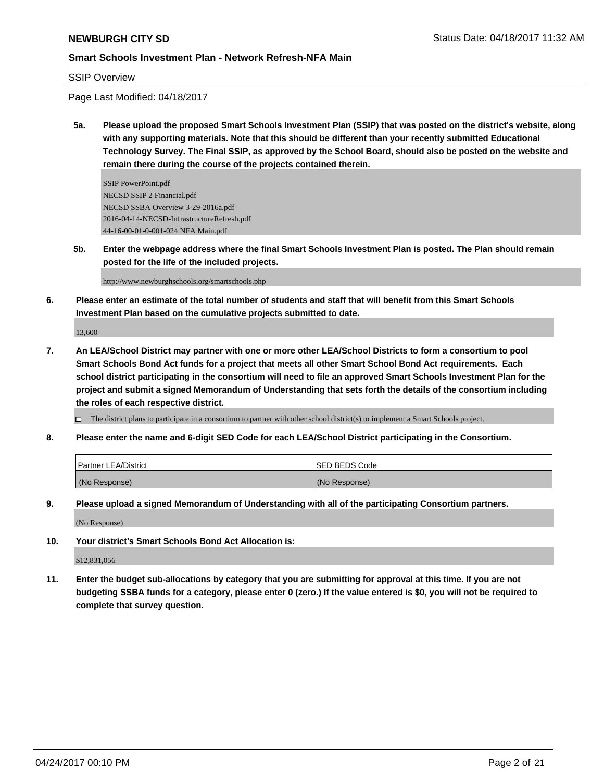#### SSIP Overview

Page Last Modified: 04/18/2017

**5a. Please upload the proposed Smart Schools Investment Plan (SSIP) that was posted on the district's website, along with any supporting materials. Note that this should be different than your recently submitted Educational Technology Survey. The Final SSIP, as approved by the School Board, should also be posted on the website and remain there during the course of the projects contained therein.**

SSIP PowerPoint.pdf NECSD SSIP 2 Financial.pdf NECSD SSBA Overview 3-29-2016a.pdf 2016-04-14-NECSD-InfrastructureRefresh.pdf 44-16-00-01-0-001-024 NFA Main.pdf

**5b. Enter the webpage address where the final Smart Schools Investment Plan is posted. The Plan should remain posted for the life of the included projects.**

http://www.newburghschools.org/smartschools.php

**6. Please enter an estimate of the total number of students and staff that will benefit from this Smart Schools Investment Plan based on the cumulative projects submitted to date.**

13,600

**7. An LEA/School District may partner with one or more other LEA/School Districts to form a consortium to pool Smart Schools Bond Act funds for a project that meets all other Smart School Bond Act requirements. Each school district participating in the consortium will need to file an approved Smart Schools Investment Plan for the project and submit a signed Memorandum of Understanding that sets forth the details of the consortium including the roles of each respective district.**

 $\Box$  The district plans to participate in a consortium to partner with other school district(s) to implement a Smart Schools project.

**8. Please enter the name and 6-digit SED Code for each LEA/School District participating in the Consortium.**

| <b>Partner LEA/District</b> | ISED BEDS Code |
|-----------------------------|----------------|
| (No Response)               | (No Response)  |

**9. Please upload a signed Memorandum of Understanding with all of the participating Consortium partners.**

(No Response)

**10. Your district's Smart Schools Bond Act Allocation is:**

\$12,831,056

**11. Enter the budget sub-allocations by category that you are submitting for approval at this time. If you are not budgeting SSBA funds for a category, please enter 0 (zero.) If the value entered is \$0, you will not be required to complete that survey question.**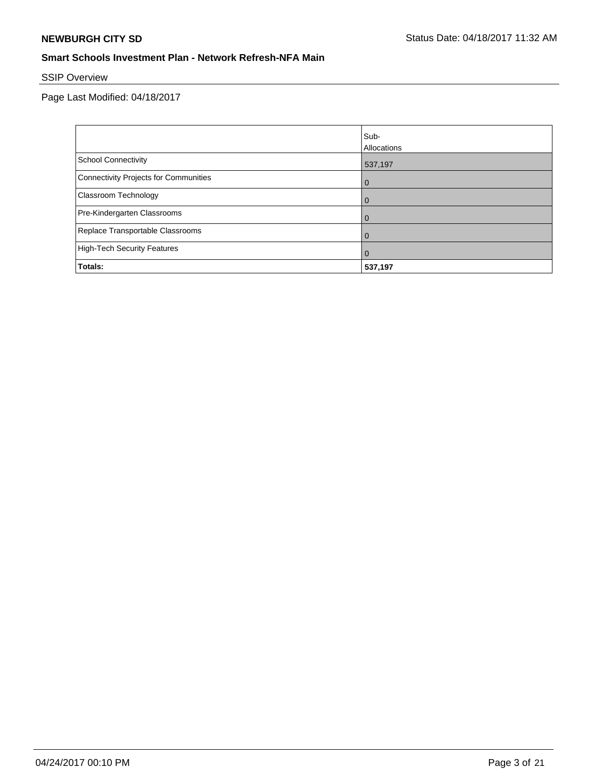# SSIP Overview

Page Last Modified: 04/18/2017

|                                       | lSub-          |
|---------------------------------------|----------------|
|                                       | Allocations    |
| School Connectivity                   | 537,197        |
| Connectivity Projects for Communities | $\overline{0}$ |
| <b>Classroom Technology</b>           | 0              |
| Pre-Kindergarten Classrooms           | $\Omega$       |
| Replace Transportable Classrooms      | 0              |
| High-Tech Security Features           | $\Omega$       |
| Totals:                               | 537,197        |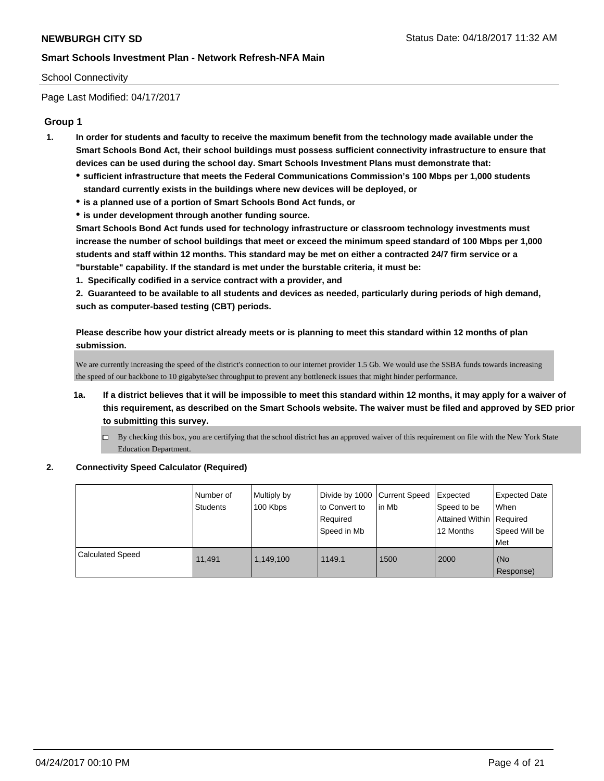## School Connectivity

Page Last Modified: 04/17/2017

## **Group 1**

- **1. In order for students and faculty to receive the maximum benefit from the technology made available under the Smart Schools Bond Act, their school buildings must possess sufficient connectivity infrastructure to ensure that devices can be used during the school day. Smart Schools Investment Plans must demonstrate that:**
	- **sufficient infrastructure that meets the Federal Communications Commission's 100 Mbps per 1,000 students standard currently exists in the buildings where new devices will be deployed, or**
	- **is a planned use of a portion of Smart Schools Bond Act funds, or**
	- **is under development through another funding source.**

**Smart Schools Bond Act funds used for technology infrastructure or classroom technology investments must increase the number of school buildings that meet or exceed the minimum speed standard of 100 Mbps per 1,000 students and staff within 12 months. This standard may be met on either a contracted 24/7 firm service or a "burstable" capability. If the standard is met under the burstable criteria, it must be:**

**1. Specifically codified in a service contract with a provider, and**

**2. Guaranteed to be available to all students and devices as needed, particularly during periods of high demand, such as computer-based testing (CBT) periods.**

**Please describe how your district already meets or is planning to meet this standard within 12 months of plan submission.**

We are currently increasing the speed of the district's connection to our internet provider 1.5 Gb. We would use the SSBA funds towards increasing the speed of our backbone to 10 gigabyte/sec throughput to prevent any bottleneck issues that might hinder performance.

- **1a. If a district believes that it will be impossible to meet this standard within 12 months, it may apply for a waiver of this requirement, as described on the Smart Schools website. The waiver must be filed and approved by SED prior to submitting this survey.**
	- By checking this box, you are certifying that the school district has an approved waiver of this requirement on file with the New York State Education Department.
- **2. Connectivity Speed Calculator (Required)**

|                         | l Number of<br><b>Students</b> | Multiply by<br>100 Kbps | Divide by 1000 Current Speed<br>to Convert to<br>Required<br>Speed in Mb | l in Mb | Expected<br>Speed to be<br>Attained Within Required<br>12 Months | <b>Expected Date</b><br><b>When</b><br>Speed Will be<br>Met |
|-------------------------|--------------------------------|-------------------------|--------------------------------------------------------------------------|---------|------------------------------------------------------------------|-------------------------------------------------------------|
| <b>Calculated Speed</b> | 11.491                         | 1,149,100               | 1149.1                                                                   | 1500    | 2000                                                             | (No<br>Response)                                            |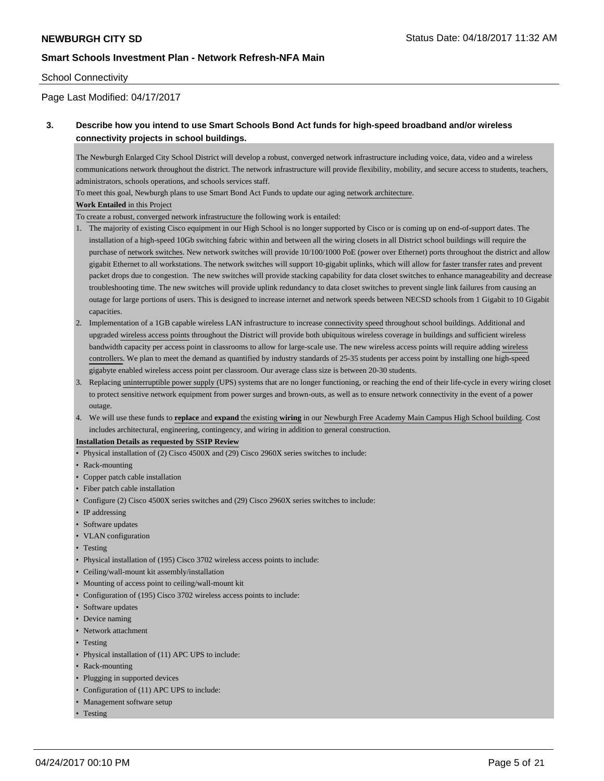## School Connectivity

Page Last Modified: 04/17/2017

## **3. Describe how you intend to use Smart Schools Bond Act funds for high-speed broadband and/or wireless connectivity projects in school buildings.**

The Newburgh Enlarged City School District will develop a robust, converged network infrastructure including voice, data, video and a wireless communications network throughout the district. The network infrastructure will provide flexibility, mobility, and secure access to students, teachers, administrators, schools operations, and schools services staff.

To meet this goal, Newburgh plans to use Smart Bond Act Funds to update our aging network architecture.

**Work Entailed** in this Project

To create a robust, converged network infrastructure the following work is entailed:

- 1. The majority of existing Cisco equipment in our High School is no longer supported by Cisco or is coming up on end-of-support dates. The installation of a high-speed 10Gb switching fabric within and between all the wiring closets in all District school buildings will require the purchase of network switches. New network switches will provide 10/100/1000 PoE (power over Ethernet) ports throughout the district and allow gigabit Ethernet to all workstations. The network switches will support 10-gigabit uplinks, which will allow for faster transfer rates and prevent packet drops due to congestion. The new switches will provide stacking capability for data closet switches to enhance manageability and decrease troubleshooting time. The new switches will provide uplink redundancy to data closet switches to prevent single link failures from causing an outage for large portions of users. This is designed to increase internet and network speeds between NECSD schools from 1 Gigabit to 10 Gigabit capacities.
- 2. Implementation of a 1GB capable wireless LAN infrastructure to increase connectivity speed throughout school buildings. Additional and upgraded wireless access points throughout the District will provide both ubiquitous wireless coverage in buildings and sufficient wireless bandwidth capacity per access point in classrooms to allow for large-scale use. The new wireless access points will require adding wireless controllers. We plan to meet the demand as quantified by industry standards of 25-35 students per access point by installing one high-speed gigabyte enabled wireless access point per classroom. Our average class size is between 20-30 students.
- 3. Replacing uninterruptible power supply (UPS) systems that are no longer functioning, or reaching the end of their life-cycle in every wiring closet to protect sensitive network equipment from power surges and brown-outs, as well as to ensure network connectivity in the event of a power outage.
- 4. We will use these funds to **replace** and **expand** the existing **wiring** in our Newburgh Free Academy Main Campus High School building. Cost includes architectural, engineering, contingency, and wiring in addition to general construction.

#### **Installation Details as requested by SSIP Review**

- Physical installation of (2) Cisco 4500X and (29) Cisco 2960X series switches to include:
- Rack-mounting
- Copper patch cable installation
- Fiber patch cable installation
- Configure (2) Cisco 4500X series switches and (29) Cisco 2960X series switches to include:
- IP addressing
- Software updates
- VLAN configuration
- Testing
- Physical installation of (195) Cisco 3702 wireless access points to include:
- Ceiling/wall-mount kit assembly/installation
- Mounting of access point to ceiling/wall-mount kit
- Configuration of (195) Cisco 3702 wireless access points to include:
- Software updates
- Device naming
- Network attachment
- Testing
- Physical installation of (11) APC UPS to include:
- Rack-mounting
- Plugging in supported devices
- Configuration of (11) APC UPS to include:
- Management software setup
- Testing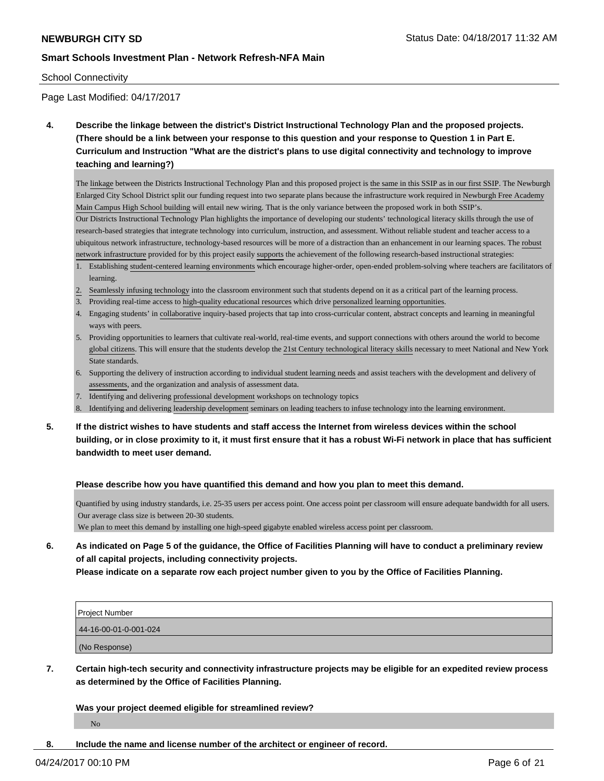#### School Connectivity

Page Last Modified: 04/17/2017

**4. Describe the linkage between the district's District Instructional Technology Plan and the proposed projects. (There should be a link between your response to this question and your response to Question 1 in Part E. Curriculum and Instruction "What are the district's plans to use digital connectivity and technology to improve teaching and learning?)**

The linkage between the Districts Instructional Technology Plan and this proposed project is the same in this SSIP as in our first SSIP. The Newburgh Enlarged City School District split our funding request into two separate plans because the infrastructure work required in Newburgh Free Academy Main Campus High School building will entail new wiring. That is the only variance between the proposed work in both SSIP's. Our Districts Instructional Technology Plan highlights the importance of developing our students' technological literacy skills through the use of research-based strategies that integrate technology into curriculum, instruction, and assessment. Without reliable student and teacher access to a ubiquitous network infrastructure, technology-based resources will be more of a distraction than an enhancement in our learning spaces. The robust network infrastructure provided for by this project easily supports the achievement of the following research-based instructional strategies:

- 1. Establishing student-centered learning environments which encourage higher-order, open-ended problem-solving where teachers are facilitators of learning.
- 2. Seamlessly infusing technology into the classroom environment such that students depend on it as a critical part of the learning process.
- 3. Providing real-time access to high-quality educational resources which drive personalized learning opportunities.
- 4. Engaging students' in collaborative inquiry-based projects that tap into cross-curricular content, abstract concepts and learning in meaningful ways with peers.
- 5. Providing opportunities to learners that cultivate real-world, real-time events, and support connections with others around the world to become global citizens. This will ensure that the students develop the 21st Century technological literacy skills necessary to meet National and New York State standards.
- 6. Supporting the delivery of instruction according to individual student learning needs and assist teachers with the development and delivery of assessments, and the organization and analysis of assessment data.
- 7. Identifying and delivering professional development workshops on technology topics
- 8. Identifying and delivering leadership development seminars on leading teachers to infuse technology into the learning environment.
- **5. If the district wishes to have students and staff access the Internet from wireless devices within the school building, or in close proximity to it, it must first ensure that it has a robust Wi-Fi network in place that has sufficient bandwidth to meet user demand.**

#### **Please describe how you have quantified this demand and how you plan to meet this demand.**

Quantified by using industry standards, i.e. 25-35 users per access point. One access point per classroom will ensure adequate bandwidth for all users. Our average class size is between 20-30 students.

We plan to meet this demand by installing one high-speed gigabyte enabled wireless access point per classroom.

# **6. As indicated on Page 5 of the guidance, the Office of Facilities Planning will have to conduct a preliminary review of all capital projects, including connectivity projects.**

**Please indicate on a separate row each project number given to you by the Office of Facilities Planning.**

| Project Number        |
|-----------------------|
| 44-16-00-01-0-001-024 |
| (No Response)         |

**7. Certain high-tech security and connectivity infrastructure projects may be eligible for an expedited review process as determined by the Office of Facilities Planning.**

#### **Was your project deemed eligible for streamlined review?**

No

**8. Include the name and license number of the architect or engineer of record.**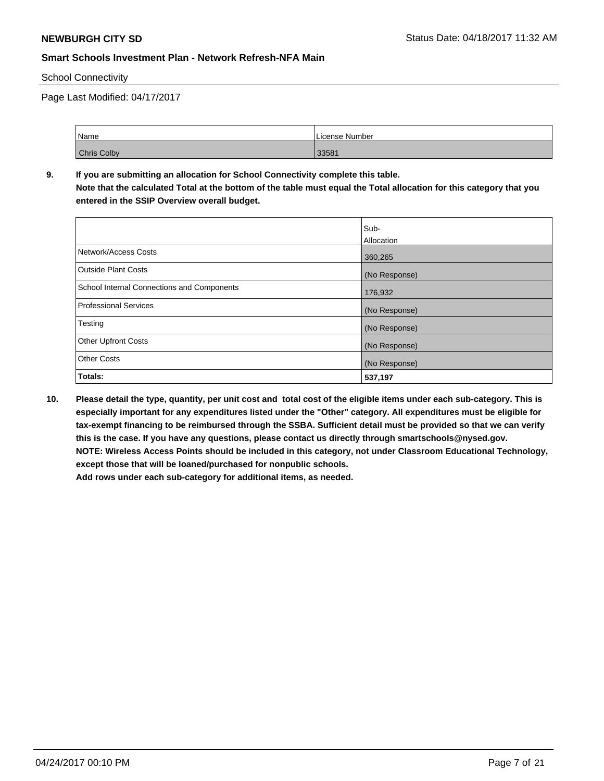## School Connectivity

Page Last Modified: 04/17/2017

| Name               | License Number |
|--------------------|----------------|
| <b>Chris Colby</b> | 33581          |

# **9. If you are submitting an allocation for School Connectivity complete this table.**

**Note that the calculated Total at the bottom of the table must equal the Total allocation for this category that you entered in the SSIP Overview overall budget.** 

|                                                   | Sub-<br><b>Allocation</b> |
|---------------------------------------------------|---------------------------|
| Network/Access Costs                              | 360,265                   |
| <b>Outside Plant Costs</b>                        | (No Response)             |
| <b>School Internal Connections and Components</b> | 176,932                   |
| <b>Professional Services</b>                      | (No Response)             |
| Testing                                           | (No Response)             |
| <b>Other Upfront Costs</b>                        | (No Response)             |
| <b>Other Costs</b>                                | (No Response)             |
| Totals:                                           | 537,197                   |

**10. Please detail the type, quantity, per unit cost and total cost of the eligible items under each sub-category. This is especially important for any expenditures listed under the "Other" category. All expenditures must be eligible for tax-exempt financing to be reimbursed through the SSBA. Sufficient detail must be provided so that we can verify this is the case. If you have any questions, please contact us directly through smartschools@nysed.gov. NOTE: Wireless Access Points should be included in this category, not under Classroom Educational Technology, except those that will be loaned/purchased for nonpublic schools. Add rows under each sub-category for additional items, as needed.**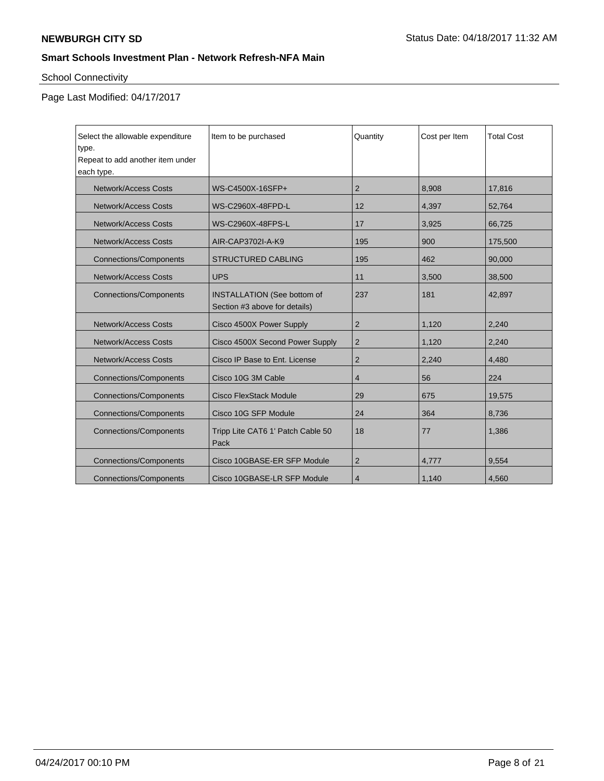# School Connectivity

Page Last Modified: 04/17/2017

| Select the allowable expenditure<br>type.<br>Repeat to add another item under<br>each type. | Item to be purchased                                                | Quantity       | Cost per Item | <b>Total Cost</b> |
|---------------------------------------------------------------------------------------------|---------------------------------------------------------------------|----------------|---------------|-------------------|
| <b>Network/Access Costs</b>                                                                 | WS-C4500X-16SFP+                                                    | $\overline{2}$ | 8,908         | 17,816            |
| <b>Network/Access Costs</b>                                                                 | WS-C2960X-48FPD-L                                                   | 12             | 4,397         | 52,764            |
| <b>Network/Access Costs</b>                                                                 | WS-C2960X-48FPS-L                                                   | 17             | 3,925         | 66,725            |
| <b>Network/Access Costs</b>                                                                 | AIR-CAP3702I-A-K9                                                   | 195            | 900           | 175,500           |
| <b>Connections/Components</b>                                                               | <b>STRUCTURED CABLING</b>                                           | 195            | 462           | 90,000            |
| <b>Network/Access Costs</b>                                                                 | <b>UPS</b>                                                          | 11             | 3,500         | 38,500            |
| <b>Connections/Components</b>                                                               | <b>INSTALLATION (See bottom of</b><br>Section #3 above for details) |                | 181           | 42,897            |
| <b>Network/Access Costs</b>                                                                 | Cisco 4500X Power Supply                                            | $\overline{2}$ | 1,120         | 2,240             |
| <b>Network/Access Costs</b>                                                                 | Cisco 4500X Second Power Supply                                     | $\overline{2}$ | 1,120         | 2,240             |
| <b>Network/Access Costs</b>                                                                 | Cisco IP Base to Ent. License                                       | 2              | 2,240         | 4,480             |
| <b>Connections/Components</b>                                                               | Cisco 10G 3M Cable                                                  | $\overline{4}$ | 56            | 224               |
| <b>Connections/Components</b>                                                               | <b>Cisco FlexStack Module</b>                                       | 29             | 675           | 19,575            |
| <b>Connections/Components</b>                                                               | Cisco 10G SFP Module                                                | 24             | 364           | 8,736             |
| <b>Connections/Components</b>                                                               | Tripp Lite CAT6 1' Patch Cable 50<br>Pack                           | 18             | 77            | 1,386             |
| <b>Connections/Components</b>                                                               | Cisco 10GBASE-ER SFP Module                                         | $\overline{2}$ | 4,777         | 9,554             |
| <b>Connections/Components</b>                                                               | Cisco 10GBASE-LR SFP Module                                         | $\overline{4}$ | 1,140         | 4,560             |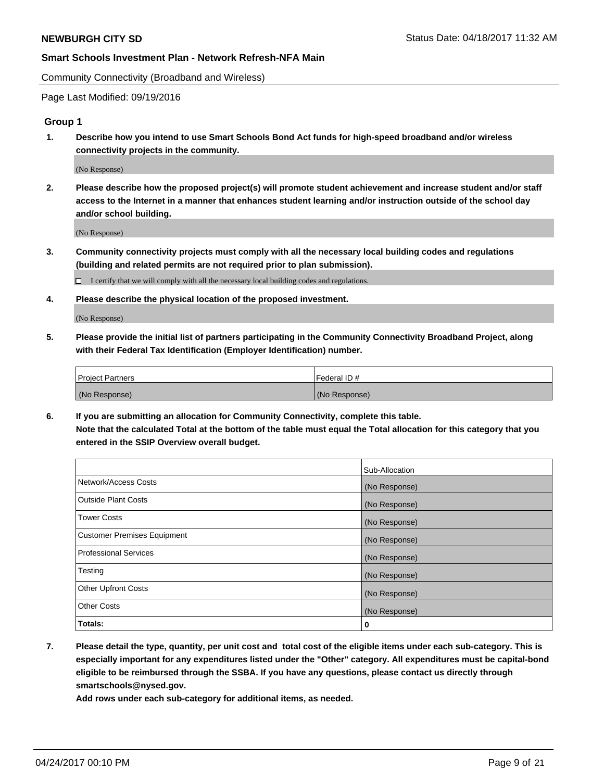Community Connectivity (Broadband and Wireless)

Page Last Modified: 09/19/2016

## **Group 1**

**1. Describe how you intend to use Smart Schools Bond Act funds for high-speed broadband and/or wireless connectivity projects in the community.**

(No Response)

**2. Please describe how the proposed project(s) will promote student achievement and increase student and/or staff access to the Internet in a manner that enhances student learning and/or instruction outside of the school day and/or school building.**

(No Response)

**3. Community connectivity projects must comply with all the necessary local building codes and regulations (building and related permits are not required prior to plan submission).**

 $\Box$  I certify that we will comply with all the necessary local building codes and regulations.

**4. Please describe the physical location of the proposed investment.**

(No Response)

**5. Please provide the initial list of partners participating in the Community Connectivity Broadband Project, along with their Federal Tax Identification (Employer Identification) number.**

| <b>Project Partners</b> | Federal ID#     |
|-------------------------|-----------------|
| (No Response)           | l (No Response) |

**6. If you are submitting an allocation for Community Connectivity, complete this table. Note that the calculated Total at the bottom of the table must equal the Total allocation for this category that you entered in the SSIP Overview overall budget.**

|                              | Sub-Allocation |
|------------------------------|----------------|
| Network/Access Costs         | (No Response)  |
| Outside Plant Costs          | (No Response)  |
| <b>Tower Costs</b>           | (No Response)  |
| Customer Premises Equipment  | (No Response)  |
| <b>Professional Services</b> | (No Response)  |
| Testing                      | (No Response)  |
| <b>Other Upfront Costs</b>   | (No Response)  |
| <b>Other Costs</b>           | (No Response)  |
| Totals:                      | 0              |

**7. Please detail the type, quantity, per unit cost and total cost of the eligible items under each sub-category. This is especially important for any expenditures listed under the "Other" category. All expenditures must be capital-bond eligible to be reimbursed through the SSBA. If you have any questions, please contact us directly through smartschools@nysed.gov.**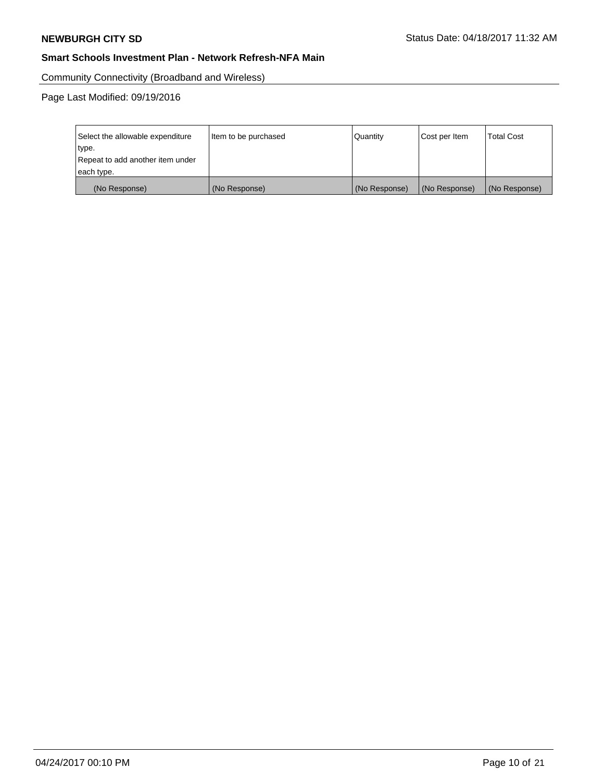Community Connectivity (Broadband and Wireless)

Page Last Modified: 09/19/2016

| Select the allowable expenditure | Item to be purchased | Quantity      | Cost per Item | <b>Total Cost</b> |
|----------------------------------|----------------------|---------------|---------------|-------------------|
| type.                            |                      |               |               |                   |
| Repeat to add another item under |                      |               |               |                   |
| each type.                       |                      |               |               |                   |
| (No Response)                    | (No Response)        | (No Response) | (No Response) | (No Response)     |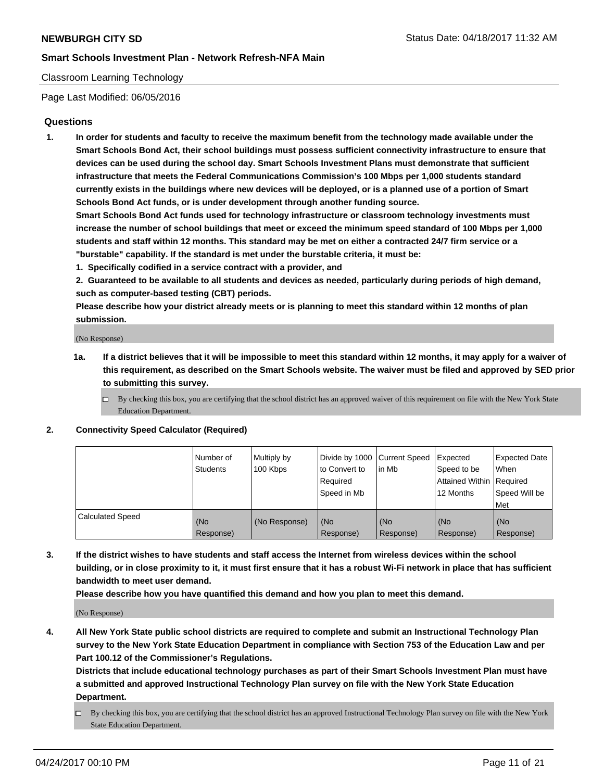## Classroom Learning Technology

Page Last Modified: 06/05/2016

## **Questions**

**1. In order for students and faculty to receive the maximum benefit from the technology made available under the Smart Schools Bond Act, their school buildings must possess sufficient connectivity infrastructure to ensure that devices can be used during the school day. Smart Schools Investment Plans must demonstrate that sufficient infrastructure that meets the Federal Communications Commission's 100 Mbps per 1,000 students standard currently exists in the buildings where new devices will be deployed, or is a planned use of a portion of Smart Schools Bond Act funds, or is under development through another funding source.**

**Smart Schools Bond Act funds used for technology infrastructure or classroom technology investments must increase the number of school buildings that meet or exceed the minimum speed standard of 100 Mbps per 1,000 students and staff within 12 months. This standard may be met on either a contracted 24/7 firm service or a "burstable" capability. If the standard is met under the burstable criteria, it must be:**

- **1. Specifically codified in a service contract with a provider, and**
- **2. Guaranteed to be available to all students and devices as needed, particularly during periods of high demand, such as computer-based testing (CBT) periods.**

**Please describe how your district already meets or is planning to meet this standard within 12 months of plan submission.**

(No Response)

- **1a. If a district believes that it will be impossible to meet this standard within 12 months, it may apply for a waiver of this requirement, as described on the Smart Schools website. The waiver must be filed and approved by SED prior to submitting this survey.**
	- $\Box$  By checking this box, you are certifying that the school district has an approved waiver of this requirement on file with the New York State Education Department.

#### **2. Connectivity Speed Calculator (Required)**

|                         | l Number of<br>Students | Multiply by<br>100 Kbps | Divide by 1000   Current Speed<br>to Convert to<br>Required<br>Speed in Mb | lin Mb           | Expected<br>Speed to be<br>Attained Within Required<br>12 Months | <b>Expected Date</b><br>When<br>Speed Will be<br>Met |
|-------------------------|-------------------------|-------------------------|----------------------------------------------------------------------------|------------------|------------------------------------------------------------------|------------------------------------------------------|
| <b>Calculated Speed</b> | (No<br>Response)        | (No Response)           | (No<br>Response)                                                           | (No<br>Response) | (No<br>Response)                                                 | (No<br>Response)                                     |

**3. If the district wishes to have students and staff access the Internet from wireless devices within the school building, or in close proximity to it, it must first ensure that it has a robust Wi-Fi network in place that has sufficient bandwidth to meet user demand.**

**Please describe how you have quantified this demand and how you plan to meet this demand.**

(No Response)

**4. All New York State public school districts are required to complete and submit an Instructional Technology Plan survey to the New York State Education Department in compliance with Section 753 of the Education Law and per Part 100.12 of the Commissioner's Regulations.**

**Districts that include educational technology purchases as part of their Smart Schools Investment Plan must have a submitted and approved Instructional Technology Plan survey on file with the New York State Education Department.**

 $\Box$  By checking this box, you are certifying that the school district has an approved Instructional Technology Plan survey on file with the New York State Education Department.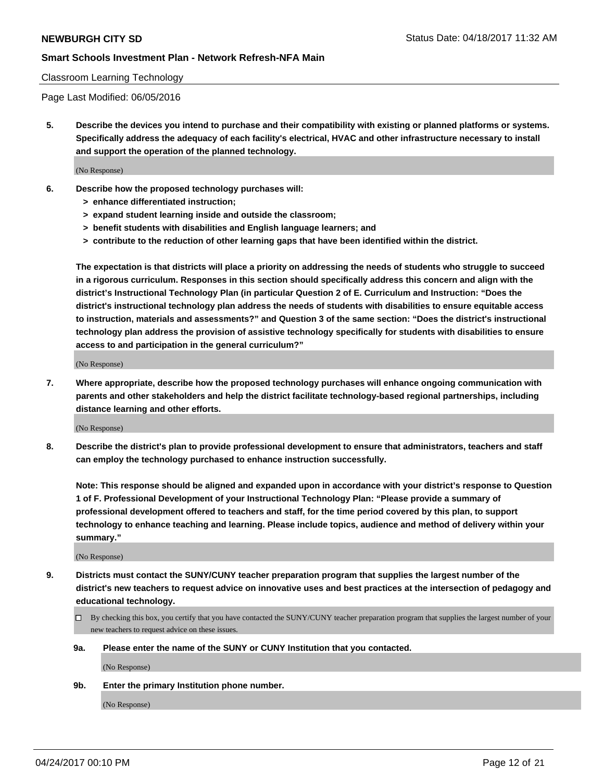#### Classroom Learning Technology

Page Last Modified: 06/05/2016

**5. Describe the devices you intend to purchase and their compatibility with existing or planned platforms or systems. Specifically address the adequacy of each facility's electrical, HVAC and other infrastructure necessary to install and support the operation of the planned technology.**

(No Response)

- **6. Describe how the proposed technology purchases will:**
	- **> enhance differentiated instruction;**
	- **> expand student learning inside and outside the classroom;**
	- **> benefit students with disabilities and English language learners; and**
	- **> contribute to the reduction of other learning gaps that have been identified within the district.**

**The expectation is that districts will place a priority on addressing the needs of students who struggle to succeed in a rigorous curriculum. Responses in this section should specifically address this concern and align with the district's Instructional Technology Plan (in particular Question 2 of E. Curriculum and Instruction: "Does the district's instructional technology plan address the needs of students with disabilities to ensure equitable access to instruction, materials and assessments?" and Question 3 of the same section: "Does the district's instructional technology plan address the provision of assistive technology specifically for students with disabilities to ensure access to and participation in the general curriculum?"**

(No Response)

**7. Where appropriate, describe how the proposed technology purchases will enhance ongoing communication with parents and other stakeholders and help the district facilitate technology-based regional partnerships, including distance learning and other efforts.**

(No Response)

**8. Describe the district's plan to provide professional development to ensure that administrators, teachers and staff can employ the technology purchased to enhance instruction successfully.**

**Note: This response should be aligned and expanded upon in accordance with your district's response to Question 1 of F. Professional Development of your Instructional Technology Plan: "Please provide a summary of professional development offered to teachers and staff, for the time period covered by this plan, to support technology to enhance teaching and learning. Please include topics, audience and method of delivery within your summary."**

(No Response)

- **9. Districts must contact the SUNY/CUNY teacher preparation program that supplies the largest number of the district's new teachers to request advice on innovative uses and best practices at the intersection of pedagogy and educational technology.**
	- By checking this box, you certify that you have contacted the SUNY/CUNY teacher preparation program that supplies the largest number of your new teachers to request advice on these issues.
	- **9a. Please enter the name of the SUNY or CUNY Institution that you contacted.**

(No Response)

**9b. Enter the primary Institution phone number.**

(No Response)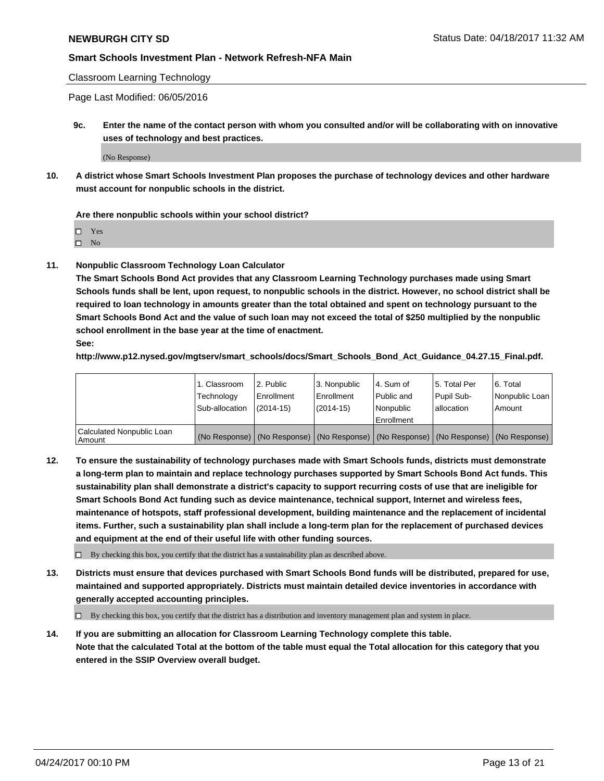Classroom Learning Technology

Page Last Modified: 06/05/2016

**9c. Enter the name of the contact person with whom you consulted and/or will be collaborating with on innovative uses of technology and best practices.**

(No Response)

**10. A district whose Smart Schools Investment Plan proposes the purchase of technology devices and other hardware must account for nonpublic schools in the district.**

**Are there nonpublic schools within your school district?**

Yes

 $\square$  No

**11. Nonpublic Classroom Technology Loan Calculator**

**The Smart Schools Bond Act provides that any Classroom Learning Technology purchases made using Smart Schools funds shall be lent, upon request, to nonpublic schools in the district. However, no school district shall be required to loan technology in amounts greater than the total obtained and spent on technology pursuant to the Smart Schools Bond Act and the value of such loan may not exceed the total of \$250 multiplied by the nonpublic school enrollment in the base year at the time of enactment.**

**See:**

**http://www.p12.nysed.gov/mgtserv/smart\_schools/docs/Smart\_Schools\_Bond\_Act\_Guidance\_04.27.15\_Final.pdf.**

|                                       | 1. Classroom   | l 2. Public   | 3. Nonpublic | l 4. Sum of | 15. Total Per                                                                                 | 6. Total       |
|---------------------------------------|----------------|---------------|--------------|-------------|-----------------------------------------------------------------------------------------------|----------------|
|                                       | Technology     | Enrollment    | Enrollment   | Public and  | Pupil Sub-                                                                                    | Nonpublic Loan |
|                                       | Sub-allocation | $(2014 - 15)$ | $(2014-15)$  | l Nonpublic | allocation                                                                                    | Amount         |
|                                       |                |               |              | Enrollment  |                                                                                               |                |
| Calculated Nonpublic Loan<br>  Amount |                |               |              |             | (No Response)   (No Response)   (No Response)   (No Response)   (No Response)   (No Response) |                |

**12. To ensure the sustainability of technology purchases made with Smart Schools funds, districts must demonstrate a long-term plan to maintain and replace technology purchases supported by Smart Schools Bond Act funds. This sustainability plan shall demonstrate a district's capacity to support recurring costs of use that are ineligible for Smart Schools Bond Act funding such as device maintenance, technical support, Internet and wireless fees, maintenance of hotspots, staff professional development, building maintenance and the replacement of incidental items. Further, such a sustainability plan shall include a long-term plan for the replacement of purchased devices and equipment at the end of their useful life with other funding sources.**

 $\Box$  By checking this box, you certify that the district has a sustainability plan as described above.

**13. Districts must ensure that devices purchased with Smart Schools Bond funds will be distributed, prepared for use, maintained and supported appropriately. Districts must maintain detailed device inventories in accordance with generally accepted accounting principles.**

By checking this box, you certify that the district has a distribution and inventory management plan and system in place.

**14. If you are submitting an allocation for Classroom Learning Technology complete this table. Note that the calculated Total at the bottom of the table must equal the Total allocation for this category that you entered in the SSIP Overview overall budget.**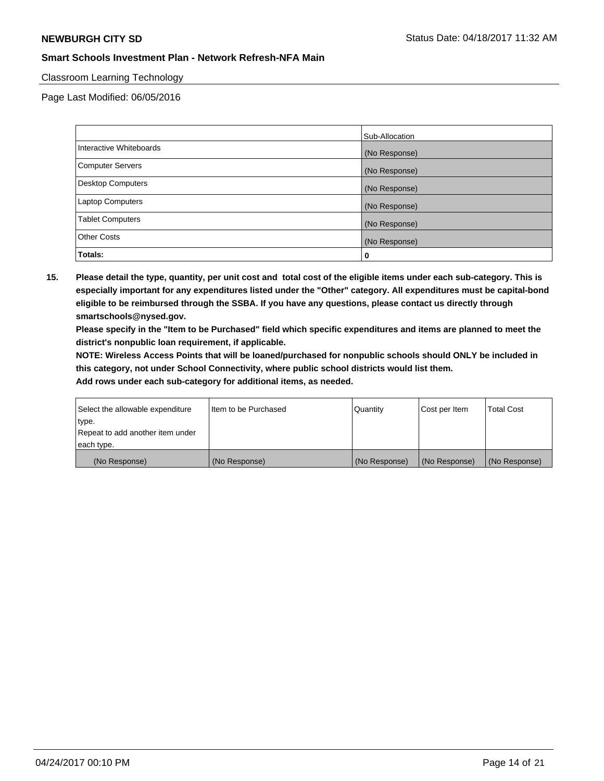## Classroom Learning Technology

Page Last Modified: 06/05/2016

|                         | Sub-Allocation |
|-------------------------|----------------|
| Interactive Whiteboards | (No Response)  |
| Computer Servers        | (No Response)  |
| Desktop Computers       | (No Response)  |
| Laptop Computers        | (No Response)  |
| <b>Tablet Computers</b> | (No Response)  |
| <b>Other Costs</b>      | (No Response)  |
| Totals:                 | U              |

**15. Please detail the type, quantity, per unit cost and total cost of the eligible items under each sub-category. This is especially important for any expenditures listed under the "Other" category. All expenditures must be capital-bond eligible to be reimbursed through the SSBA. If you have any questions, please contact us directly through smartschools@nysed.gov.**

**Please specify in the "Item to be Purchased" field which specific expenditures and items are planned to meet the district's nonpublic loan requirement, if applicable.**

**NOTE: Wireless Access Points that will be loaned/purchased for nonpublic schools should ONLY be included in this category, not under School Connectivity, where public school districts would list them.**

| (No Response)                    | (No Response)        | (No Response) | (No Response) | (No Response)     |
|----------------------------------|----------------------|---------------|---------------|-------------------|
| each type.                       |                      |               |               |                   |
| Repeat to add another item under |                      |               |               |                   |
| ∣type.                           |                      |               |               |                   |
| Select the allowable expenditure | Item to be Purchased | Quantity      | Cost per Item | <b>Total Cost</b> |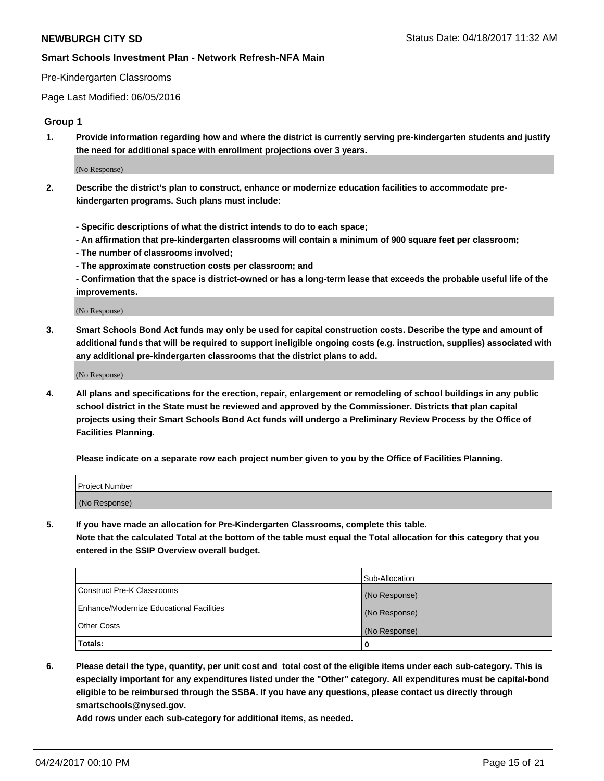#### Pre-Kindergarten Classrooms

Page Last Modified: 06/05/2016

## **Group 1**

**1. Provide information regarding how and where the district is currently serving pre-kindergarten students and justify the need for additional space with enrollment projections over 3 years.**

(No Response)

- **2. Describe the district's plan to construct, enhance or modernize education facilities to accommodate prekindergarten programs. Such plans must include:**
	- **Specific descriptions of what the district intends to do to each space;**
	- **An affirmation that pre-kindergarten classrooms will contain a minimum of 900 square feet per classroom;**
	- **The number of classrooms involved;**
	- **The approximate construction costs per classroom; and**
	- **Confirmation that the space is district-owned or has a long-term lease that exceeds the probable useful life of the improvements.**

(No Response)

**3. Smart Schools Bond Act funds may only be used for capital construction costs. Describe the type and amount of additional funds that will be required to support ineligible ongoing costs (e.g. instruction, supplies) associated with any additional pre-kindergarten classrooms that the district plans to add.**

(No Response)

**4. All plans and specifications for the erection, repair, enlargement or remodeling of school buildings in any public school district in the State must be reviewed and approved by the Commissioner. Districts that plan capital projects using their Smart Schools Bond Act funds will undergo a Preliminary Review Process by the Office of Facilities Planning.**

**Please indicate on a separate row each project number given to you by the Office of Facilities Planning.**

| Project Number |  |
|----------------|--|
| (No Response)  |  |

**5. If you have made an allocation for Pre-Kindergarten Classrooms, complete this table. Note that the calculated Total at the bottom of the table must equal the Total allocation for this category that you entered in the SSIP Overview overall budget.**

| Totals:                                  | 0              |
|------------------------------------------|----------------|
| Other Costs                              | (No Response)  |
| Enhance/Modernize Educational Facilities | (No Response)  |
| Construct Pre-K Classrooms               | (No Response)  |
|                                          | Sub-Allocation |

**6. Please detail the type, quantity, per unit cost and total cost of the eligible items under each sub-category. This is especially important for any expenditures listed under the "Other" category. All expenditures must be capital-bond eligible to be reimbursed through the SSBA. If you have any questions, please contact us directly through smartschools@nysed.gov.**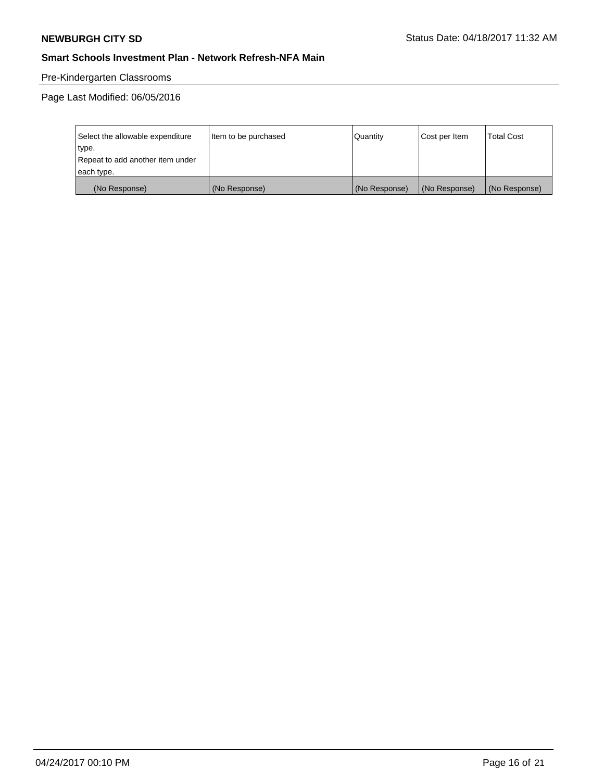# Pre-Kindergarten Classrooms

Page Last Modified: 06/05/2016

| Select the allowable expenditure | Item to be purchased | Quantity      | Cost per Item | <b>Total Cost</b> |
|----------------------------------|----------------------|---------------|---------------|-------------------|
| type.                            |                      |               |               |                   |
| Repeat to add another item under |                      |               |               |                   |
| each type.                       |                      |               |               |                   |
| (No Response)                    | (No Response)        | (No Response) | (No Response) | (No Response)     |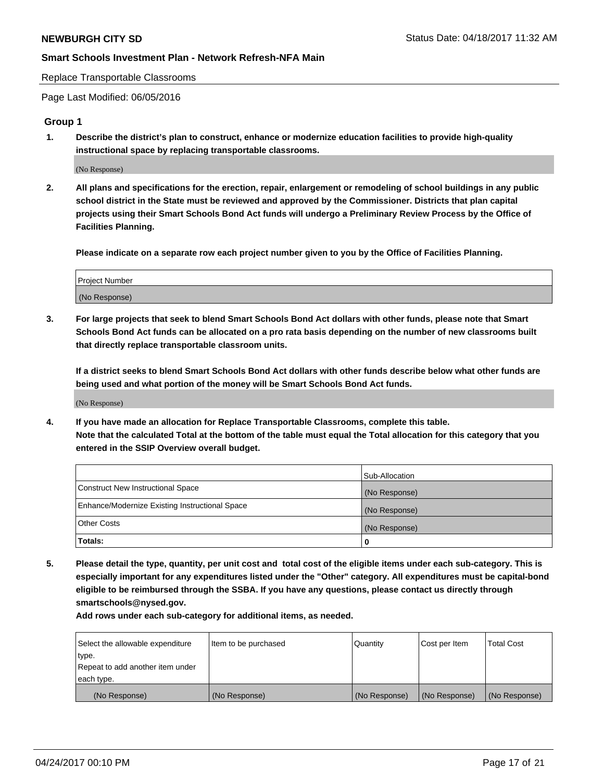Replace Transportable Classrooms

Page Last Modified: 06/05/2016

## **Group 1**

**1. Describe the district's plan to construct, enhance or modernize education facilities to provide high-quality instructional space by replacing transportable classrooms.**

(No Response)

**2. All plans and specifications for the erection, repair, enlargement or remodeling of school buildings in any public school district in the State must be reviewed and approved by the Commissioner. Districts that plan capital projects using their Smart Schools Bond Act funds will undergo a Preliminary Review Process by the Office of Facilities Planning.**

**Please indicate on a separate row each project number given to you by the Office of Facilities Planning.**

| Project Number |  |
|----------------|--|
| (No Response)  |  |

**3. For large projects that seek to blend Smart Schools Bond Act dollars with other funds, please note that Smart Schools Bond Act funds can be allocated on a pro rata basis depending on the number of new classrooms built that directly replace transportable classroom units.**

**If a district seeks to blend Smart Schools Bond Act dollars with other funds describe below what other funds are being used and what portion of the money will be Smart Schools Bond Act funds.**

(No Response)

**4. If you have made an allocation for Replace Transportable Classrooms, complete this table. Note that the calculated Total at the bottom of the table must equal the Total allocation for this category that you entered in the SSIP Overview overall budget.**

|                                                | Sub-Allocation |
|------------------------------------------------|----------------|
| Construct New Instructional Space              | (No Response)  |
| Enhance/Modernize Existing Instructional Space | (No Response)  |
| Other Costs                                    | (No Response)  |
| Totals:                                        | $\Omega$       |

**5. Please detail the type, quantity, per unit cost and total cost of the eligible items under each sub-category. This is especially important for any expenditures listed under the "Other" category. All expenditures must be capital-bond eligible to be reimbursed through the SSBA. If you have any questions, please contact us directly through smartschools@nysed.gov.**

| Select the allowable expenditure | Item to be purchased | Quantity      | Cost per Item | <b>Total Cost</b> |
|----------------------------------|----------------------|---------------|---------------|-------------------|
| type.                            |                      |               |               |                   |
| Repeat to add another item under |                      |               |               |                   |
| each type.                       |                      |               |               |                   |
| (No Response)                    | (No Response)        | (No Response) | (No Response) | (No Response)     |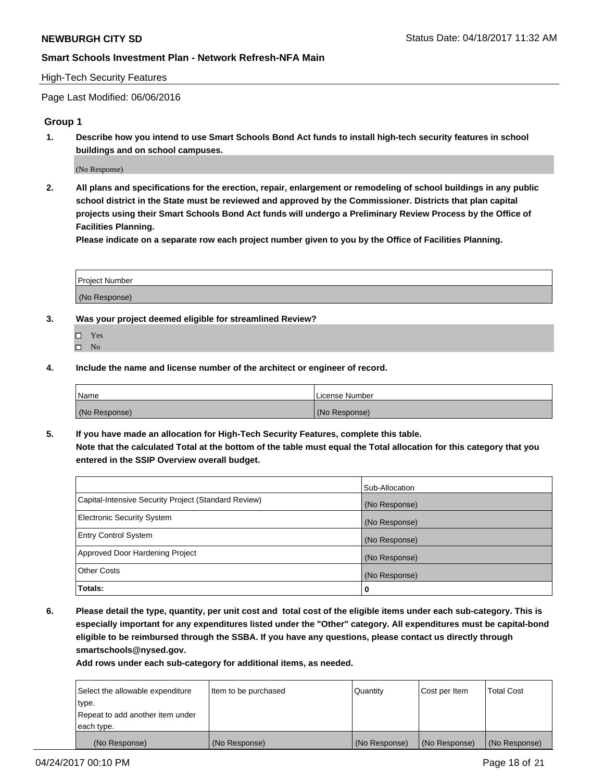#### High-Tech Security Features

Page Last Modified: 06/06/2016

## **Group 1**

**1. Describe how you intend to use Smart Schools Bond Act funds to install high-tech security features in school buildings and on school campuses.**

(No Response)

**2. All plans and specifications for the erection, repair, enlargement or remodeling of school buildings in any public school district in the State must be reviewed and approved by the Commissioner. Districts that plan capital projects using their Smart Schools Bond Act funds will undergo a Preliminary Review Process by the Office of Facilities Planning.** 

**Please indicate on a separate row each project number given to you by the Office of Facilities Planning.**

| Project Number |  |
|----------------|--|
|                |  |
| (No Response)  |  |

- **3. Was your project deemed eligible for streamlined Review?**
	- Yes  $\hfill \square$  No
- **4. Include the name and license number of the architect or engineer of record.**

| <b>Name</b>   | License Number |
|---------------|----------------|
| (No Response) | (No Response)  |

**5. If you have made an allocation for High-Tech Security Features, complete this table. Note that the calculated Total at the bottom of the table must equal the Total allocation for this category that you entered in the SSIP Overview overall budget.**

|                                                      | Sub-Allocation |
|------------------------------------------------------|----------------|
| Capital-Intensive Security Project (Standard Review) | (No Response)  |
| Electronic Security System                           | (No Response)  |
| <b>Entry Control System</b>                          | (No Response)  |
| Approved Door Hardening Project                      | (No Response)  |
| <b>Other Costs</b>                                   | (No Response)  |
| Totals:                                              | 0              |

**6. Please detail the type, quantity, per unit cost and total cost of the eligible items under each sub-category. This is especially important for any expenditures listed under the "Other" category. All expenditures must be capital-bond eligible to be reimbursed through the SSBA. If you have any questions, please contact us directly through smartschools@nysed.gov.**

| (No Response)                    | (No Response)        | (No Response) | (No Response) | (No Response)     |
|----------------------------------|----------------------|---------------|---------------|-------------------|
| each type.                       |                      |               |               |                   |
| Repeat to add another item under |                      |               |               |                   |
| type.                            |                      |               |               |                   |
| Select the allowable expenditure | Item to be purchased | Quantity      | Cost per Item | <b>Total Cost</b> |
|                                  |                      |               |               |                   |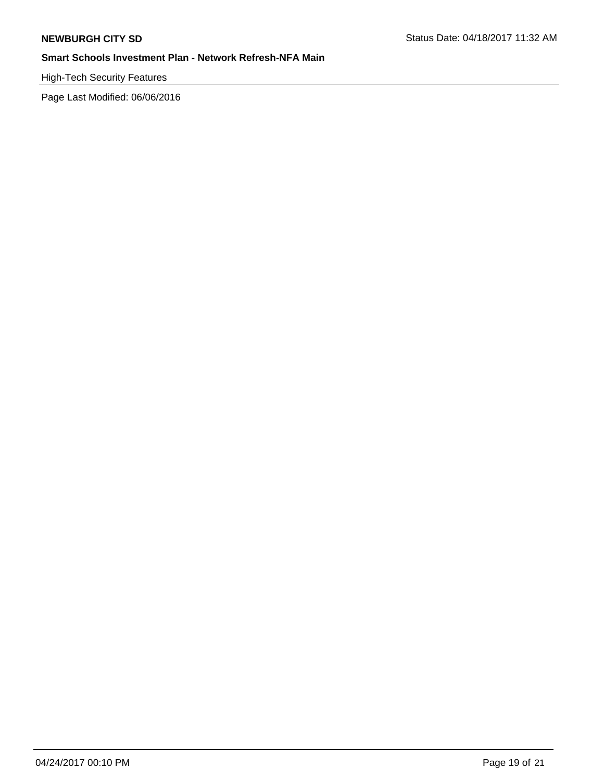High-Tech Security Features

Page Last Modified: 06/06/2016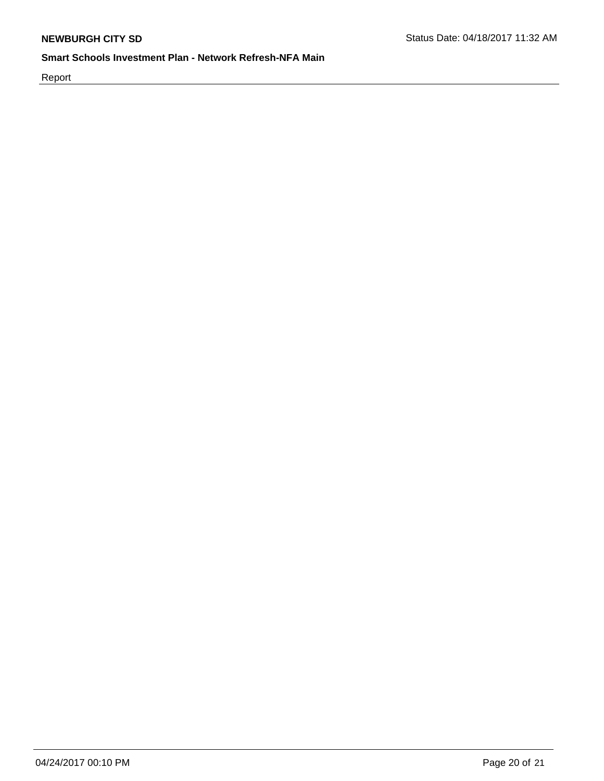Report